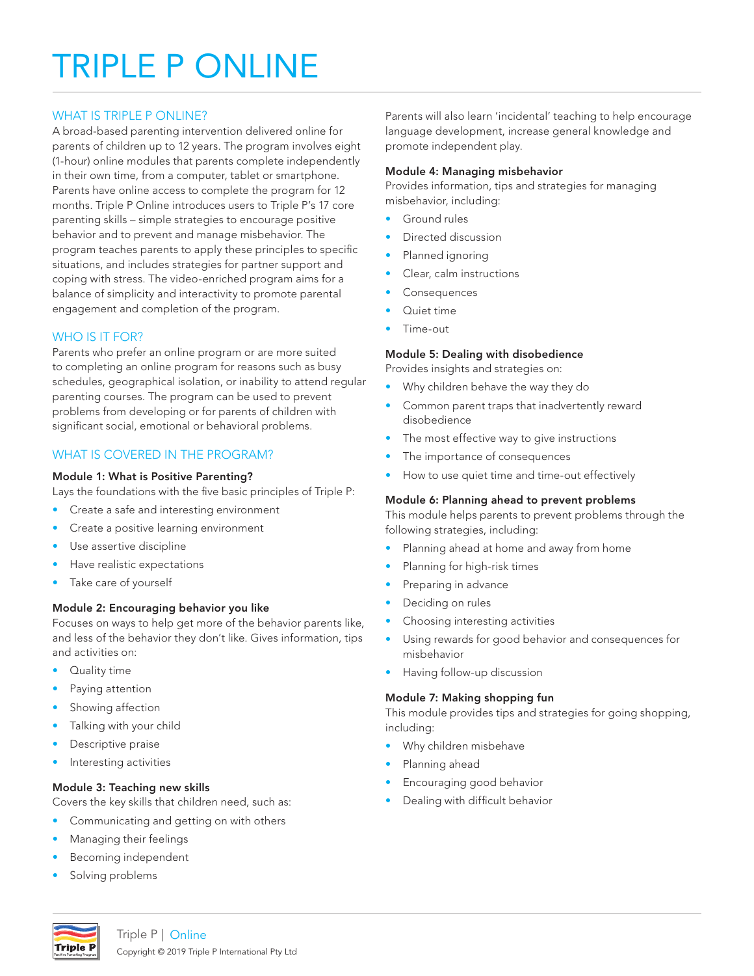# TRIPLE P ONLINE

# WHAT IS TRIPLE P ONLINE?

A broad-based parenting intervention delivered online for parents of children up to 12 years. The program involves eight (1-hour) online modules that parents complete independently in their own time, from a computer, tablet or smartphone. Parents have online access to complete the program for 12 months. Triple P Online introduces users to Triple P's 17 core parenting skills – simple strategies to encourage positive behavior and to prevent and manage misbehavior. The program teaches parents to apply these principles to specific situations, and includes strategies for partner support and coping with stress. The video-enriched program aims for a balance of simplicity and interactivity to promote parental engagement and completion of the program.

## WHO IS IT FOR?

Parents who prefer an online program or are more suited to completing an online program for reasons such as busy schedules, geographical isolation, or inability to attend regular parenting courses. The program can be used to prevent problems from developing or for parents of children with significant social, emotional or behavioral problems.

# WHAT IS COVERED IN THE PROGRAM?

## Module 1: What is Positive Parenting?

Lays the foundations with the five basic principles of Triple P:

- Create a safe and interesting environment
- Create a positive learning environment
- Use assertive discipline
- Have realistic expectations
- Take care of yourself

## Module 2: Encouraging behavior you like

Focuses on ways to help get more of the behavior parents like, and less of the behavior they don't like. Gives information, tips and activities on:

- Quality time
- Paying attention
- Showing affection
- Talking with your child
- Descriptive praise
- Interesting activities

## Module 3: Teaching new skills

Covers the key skills that children need, such as:

- Communicating and getting on with others
- Managing their feelings
- Becoming independent
- Solving problems

Parents will also learn 'incidental' teaching to help encourage language development, increase general knowledge and promote independent play.

#### Module 4: Managing misbehavior

Provides information, tips and strategies for managing misbehavior, including:

- Ground rules
- Directed discussion
- Planned ignoring
- Clear, calm instructions
- **Consequences**
- Quiet time
- Time-out

#### Module 5: Dealing with disobedience

Provides insights and strategies on:

- Why children behave the way they do
- Common parent traps that inadvertently reward disobedience
- The most effective way to give instructions
- The importance of consequences
- How to use quiet time and time-out effectively

## Module 6: Planning ahead to prevent problems

This module helps parents to prevent problems through the following strategies, including:

- Planning ahead at home and away from home
- Planning for high-risk times
- Preparing in advance
- Deciding on rules
- Choosing interesting activities
- Using rewards for good behavior and consequences for misbehavior
- Having follow-up discussion

## Module 7: Making shopping fun

This module provides tips and strategies for going shopping, including:

- Why children misbehave
- Planning ahead
- Encouraging good behavior
- Dealing with difficult behavior